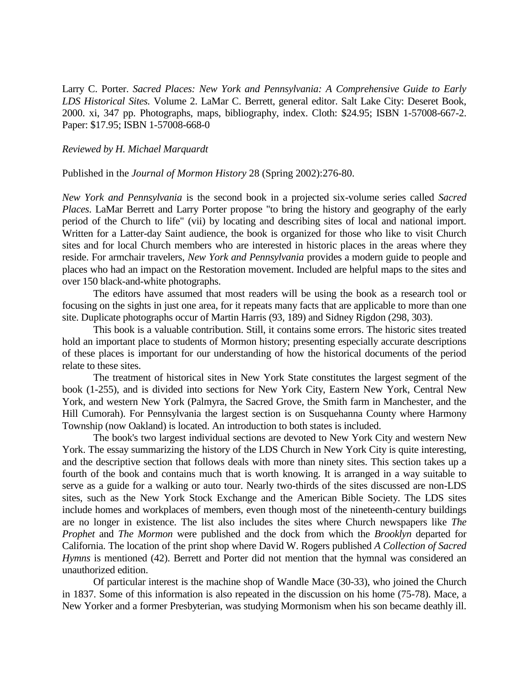Larry C. Porter. *Sacred Places: New York and Pennsylvania: A Comprehensive Guide to Early LDS Historical Sites.* Volume 2. LaMar C. Berrett, general editor. Salt Lake City: Deseret Book, 2000. xi, 347 pp. Photographs, maps, bibliography, index. Cloth: \$24.95; ISBN 1-57008-667-2. Paper: \$17.95; ISBN 1-57008-668-0

## *Reviewed by H. Michael Marquardt*

## Published in the *Journal of Mormon History* 28 (Spring 2002):276-80.

*New York and Pennsylvania* is the second book in a projected six-volume series called *Sacred Places*. LaMar Berrett and Larry Porter propose "to bring the history and geography of the early period of the Church to life" (vii) by locating and describing sites of local and national import. Written for a Latter-day Saint audience, the book is organized for those who like to visit Church sites and for local Church members who are interested in historic places in the areas where they reside. For armchair travelers, *New York and Pennsylvania* provides a modern guide to people and places who had an impact on the Restoration movement. Included are helpful maps to the sites and over 150 black-and-white photographs.

The editors have assumed that most readers will be using the book as a research tool or focusing on the sights in just one area, for it repeats many facts that are applicable to more than one site. Duplicate photographs occur of Martin Harris (93, 189) and Sidney Rigdon (298, 303).

This book is a valuable contribution. Still, it contains some errors. The historic sites treated hold an important place to students of Mormon history; presenting especially accurate descriptions of these places is important for our understanding of how the historical documents of the period relate to these sites.

The treatment of historical sites in New York State constitutes the largest segment of the book (1-255), and is divided into sections for New York City, Eastern New York, Central New York, and western New York (Palmyra, the Sacred Grove, the Smith farm in Manchester, and the Hill Cumorah). For Pennsylvania the largest section is on Susquehanna County where Harmony Township (now Oakland) is located. An introduction to both states is included.

The book's two largest individual sections are devoted to New York City and western New York. The essay summarizing the history of the LDS Church in New York City is quite interesting, and the descriptive section that follows deals with more than ninety sites. This section takes up a fourth of the book and contains much that is worth knowing. It is arranged in a way suitable to serve as a guide for a walking or auto tour. Nearly two-thirds of the sites discussed are non-LDS sites, such as the New York Stock Exchange and the American Bible Society. The LDS sites include homes and workplaces of members, even though most of the nineteenth-century buildings are no longer in existence. The list also includes the sites where Church newspapers like *The Prophet* and *The Mormon* were published and the dock from which the *Brooklyn* departed for California. The location of the print shop where David W. Rogers published *A Collection of Sacred Hymns* is mentioned (42). Berrett and Porter did not mention that the hymnal was considered an unauthorized edition.

Of particular interest is the machine shop of Wandle Mace (30-33), who joined the Church in 1837. Some of this information is also repeated in the discussion on his home (75-78). Mace, a New Yorker and a former Presbyterian, was studying Mormonism when his son became deathly ill.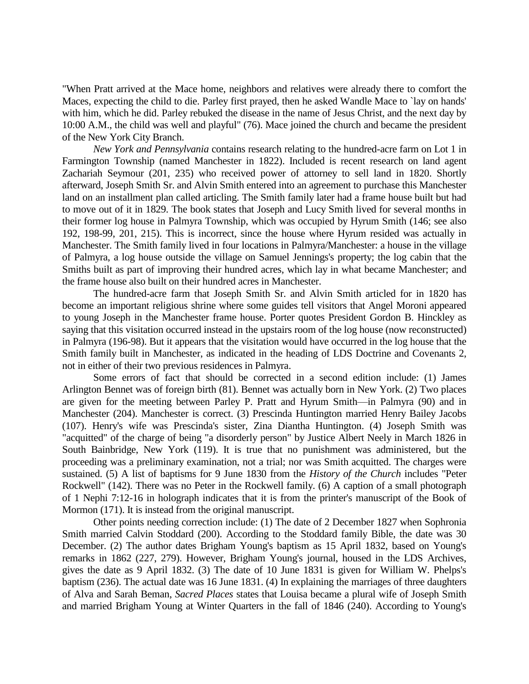"When Pratt arrived at the Mace home, neighbors and relatives were already there to comfort the Maces, expecting the child to die. Parley first prayed, then he asked Wandle Mace to `lay on hands' with him, which he did. Parley rebuked the disease in the name of Jesus Christ, and the next day by 10:00 A.M., the child was well and playful" (76). Mace joined the church and became the president of the New York City Branch.

*New York and Pennsylvania* contains research relating to the hundred-acre farm on Lot 1 in Farmington Township (named Manchester in 1822). Included is recent research on land agent Zachariah Seymour (201, 235) who received power of attorney to sell land in 1820. Shortly afterward, Joseph Smith Sr. and Alvin Smith entered into an agreement to purchase this Manchester land on an installment plan called articling. The Smith family later had a frame house built but had to move out of it in 1829. The book states that Joseph and Lucy Smith lived for several months in their former log house in Palmyra Township, which was occupied by Hyrum Smith (146; see also 192, 198-99, 201, 215). This is incorrect, since the house where Hyrum resided was actually in Manchester. The Smith family lived in four locations in Palmyra/Manchester: a house in the village of Palmyra, a log house outside the village on Samuel Jennings's property; the log cabin that the Smiths built as part of improving their hundred acres, which lay in what became Manchester; and the frame house also built on their hundred acres in Manchester.

The hundred-acre farm that Joseph Smith Sr. and Alvin Smith articled for in 1820 has become an important religious shrine where some guides tell visitors that Angel Moroni appeared to young Joseph in the Manchester frame house. Porter quotes President Gordon B. Hinckley as saying that this visitation occurred instead in the upstairs room of the log house (now reconstructed) in Palmyra (196-98). But it appears that the visitation would have occurred in the log house that the Smith family built in Manchester, as indicated in the heading of LDS Doctrine and Covenants 2, not in either of their two previous residences in Palmyra.

Some errors of fact that should be corrected in a second edition include: (1) James Arlington Bennet was of foreign birth (81). Bennet was actually born in New York. (2) Two places are given for the meeting between Parley P. Pratt and Hyrum Smith—in Palmyra (90) and in Manchester (204). Manchester is correct. (3) Prescinda Huntington married Henry Bailey Jacobs (107). Henry's wife was Prescinda's sister, Zina Diantha Huntington. (4) Joseph Smith was "acquitted" of the charge of being "a disorderly person" by Justice Albert Neely in March 1826 in South Bainbridge, New York (119). It is true that no punishment was administered, but the proceeding was a preliminary examination, not a trial; nor was Smith acquitted. The charges were sustained. (5) A list of baptisms for 9 June 1830 from the *History of the Church* includes "Peter Rockwell" (142). There was no Peter in the Rockwell family. (6) A caption of a small photograph of 1 Nephi 7:12-16 in holograph indicates that it is from the printer's manuscript of the Book of Mormon (171). It is instead from the original manuscript.

Other points needing correction include: (1) The date of 2 December 1827 when Sophronia Smith married Calvin Stoddard (200). According to the Stoddard family Bible, the date was 30 December. (2) The author dates Brigham Young's baptism as 15 April 1832, based on Young's remarks in 1862 (227, 279). However, Brigham Young's journal, housed in the LDS Archives, gives the date as 9 April 1832. (3) The date of 10 June 1831 is given for William W. Phelps's baptism (236). The actual date was 16 June 1831. (4) In explaining the marriages of three daughters of Alva and Sarah Beman, *Sacred Places* states that Louisa became a plural wife of Joseph Smith and married Brigham Young at Winter Quarters in the fall of 1846 (240). According to Young's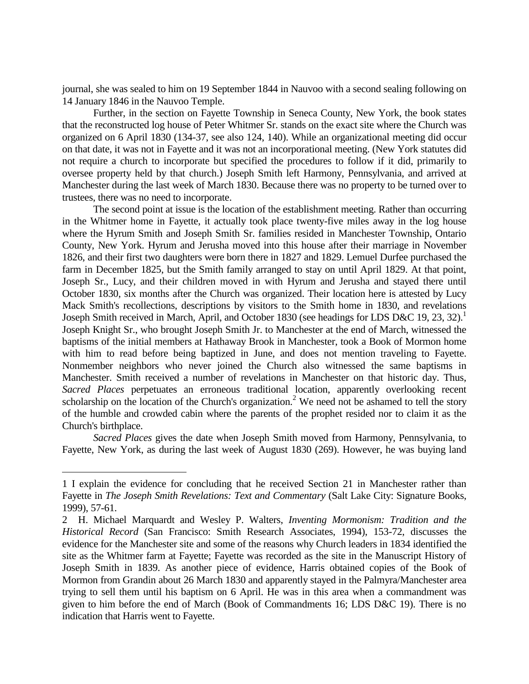journal, she was sealed to him on 19 September 1844 in Nauvoo with a second sealing following on 14 January 1846 in the Nauvoo Temple.

Further, in the section on Fayette Township in Seneca County, New York, the book states that the reconstructed log house of Peter Whitmer Sr. stands on the exact site where the Church was organized on 6 April 1830 (134-37, see also 124, 140). While an organizational meeting did occur on that date, it was not in Fayette and it was not an incorporational meeting. (New York statutes did not require a church to incorporate but specified the procedures to follow if it did, primarily to oversee property held by that church.) Joseph Smith left Harmony, Pennsylvania, and arrived at Manchester during the last week of March 1830. Because there was no property to be turned over to trustees, there was no need to incorporate.

The second point at issue is the location of the establishment meeting. Rather than occurring in the Whitmer home in Fayette, it actually took place twenty-five miles away in the log house where the Hyrum Smith and Joseph Smith Sr. families resided in Manchester Township, Ontario County, New York. Hyrum and Jerusha moved into this house after their marriage in November 1826, and their first two daughters were born there in 1827 and 1829. Lemuel Durfee purchased the farm in December 1825, but the Smith family arranged to stay on until April 1829. At that point, Joseph Sr., Lucy, and their children moved in with Hyrum and Jerusha and stayed there until October 1830, six months after the Church was organized. Their location here is attested by Lucy Mack Smith's recollections, descriptions by visitors to the Smith home in 1830, and revelations Joseph Smith received in March, April, and October 1830 (see headings for LDS D&C 19, 23, 32).<sup>1</sup> Joseph Knight Sr., who brought Joseph Smith Jr. to Manchester at the end of March, witnessed the baptisms of the initial members at Hathaway Brook in Manchester, took a Book of Mormon home with him to read before being baptized in June, and does not mention traveling to Fayette. Nonmember neighbors who never joined the Church also witnessed the same baptisms in Manchester. Smith received a number of revelations in Manchester on that historic day. Thus, *Sacred Places* perpetuates an erroneous traditional location, apparently overlooking recent scholarship on the location of the Church's organization.<sup>2</sup> We need not be ashamed to tell the story of the humble and crowded cabin where the parents of the prophet resided nor to claim it as the Church's birthplace.

*Sacred Places* gives the date when Joseph Smith moved from Harmony, Pennsylvania, to Fayette, New York, as during the last week of August 1830 (269). However, he was buying land

L,

<sup>1</sup> I explain the evidence for concluding that he received Section 21 in Manchester rather than Fayette in *The Joseph Smith Revelations: Text and Commentary* (Salt Lake City: Signature Books, 1999), 57-61.

<sup>2</sup> H. Michael Marquardt and Wesley P. Walters, *Inventing Mormonism: Tradition and the Historical Record* (San Francisco: Smith Research Associates, 1994), 153-72, discusses the evidence for the Manchester site and some of the reasons why Church leaders in 1834 identified the site as the Whitmer farm at Fayette; Fayette was recorded as the site in the Manuscript History of Joseph Smith in 1839. As another piece of evidence, Harris obtained copies of the Book of Mormon from Grandin about 26 March 1830 and apparently stayed in the Palmyra/Manchester area trying to sell them until his baptism on 6 April. He was in this area when a commandment was given to him before the end of March (Book of Commandments 16; LDS D&C 19). There is no indication that Harris went to Fayette.